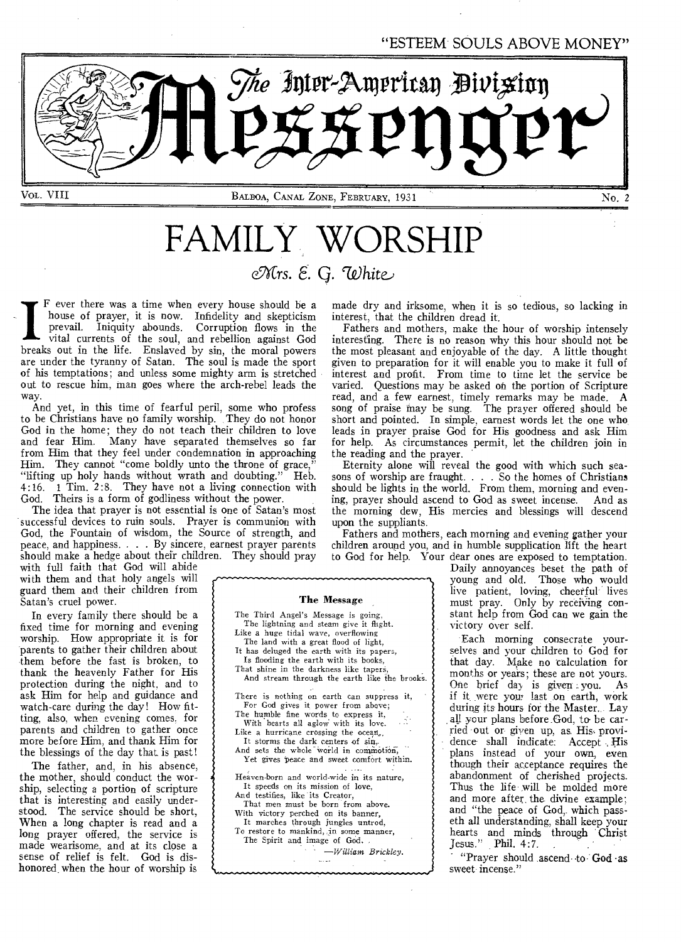

# FAMILY WORSHIP Mrs. E. G. White

F ever there was a time when every house should be a house of prayer, it is now. Infidelity and skepticism prevail. Iniquity abounds. Corruption flows in the vital currents of the soul, and rebellion against God breaks out F ever there was a time when every house should be a house of prayer, it is now. Infidelity and skepticism prevail. Iniquity abounds. Corruption flows in the vital currents of the soul, and rebellion against God are under the tyranny of Satan. The soul is made the sport of his temptations; and unless some mighty arm is stretched out to rescue him, man goes where the arch-rebel leads the way.

And yet, in this time of fearful peril, some who profess to be Christians have no family worship. They do not honor God in the home; they do not teach their children to love and fear Him. Many have separated themselves so far from Him that they feel under condemnation in approaching Him. They cannot "come boldly unto the throne of grace," "lifting up holy hands without wrath and doubting." Heb. 4:16. 1 Tim. 2:8. They have not a living connection with God. Theirs is a form of godliness without the power.

The idea that prayer is not essential is one of Satan's most successful devices to ruin souls. Prayer is communion with God, the Fountain of wisdom, the Source of strength, and peace, and happiness. . . . By sincere, earnest prayer parents should make a hedge about their children. They should pray

with full faith that God will abide with them and that holy angels will guard them and their children from Satan's cruel power.

In every family there should be a fixed time for morning and evening worship. How appropriate it is for parents to gather their children about them before the fast is broken, to thank the heavenly Father for His protection during the night, and to ask Him for help and guidance and watch-care during the day! How fitting, also, when evening comes. for parents and children to gather once more before Him, and thank Him for the blessings of the day that is past!

The father, and, in his absence, the mother, should conduct the worship, selecting a portion of scripture that is interesting and easily understood. The service should be short, When a long chapter is read and a long prayer offered, the service is made wearisome, and at its close a sense of relief is felt. God is dishonored when the hour of worship is

The Message The Third Angel's Message is going, The lightning and steam give it flight. Like a huge tidal wave, overflowing The land with a great flood of light, It has deluged the earth with its papers, Is flooding the earth with its books, That shine in the darkness like tapers And stream through the earth like the brooks. There is nothing on earth can suppress it, For God gives it power from abave; The humble fine words to express it, With hearts all aglow with its love. Like a hurricane crossing the ocean, It storms the dark centers of sin,- And sets the whole world in commotion, Yet gives peace and sweet comfort within. Heaven-born and world-wide in its nature, It speeds on its mission of love, And testifies, like its Creator, That men must be born from above. With victory perched on its banner, It marches through jungles untrod, To restore to mankind, ,in some manner, The Spirit and image of God. *' —William Brickley.* 

made dry and irksome, when it is so tedious, so lacking in interest, that the children dread it.

Fathers and mothers, make the hour of worship intensely interesting. There is no reason why this hour should not be the most pleasant and enjoyable of the day. A little thought given to preparation for it will enable you to make it full of interest and profit. From time to time let the service be varied. Questions may be asked on the portion of Scripture read, and a few earnest, timely remarks may be made. A song of praise fnay be sung. The prayer offered should be short and pointed. In simple, earnest words let the one who leads in prayer praise God for His goodness and ask Him for help. As circumstances permit, let the children join in the reading and the prayer.

Eternity alone will reveal the good with which such seasons of worship are fraught. . . . So the homes of Christians should be lights in the world. From them, morning and evening, prayer should ascend to God as sweet incense. And as the morning dew, His mercies and blessings will descend upon the suppliants.

Fathers and mothers, each morning and evening gather your children around you, and in humble supplication lift the heart to God for help. Your dear ones are exposed to temptation.

> Daily annoyances beset the path of young and old. Those who would live patient, loving, cheerful lives must pray. Only by receiving constant help from God can we gain the victory over self.

> Each morning consecrate yourselves and your children to God for that day. Make no calculation for months or years; these are not yours. One brief day is given you. As if it were your last on earth, work during its hours for the Master. Lay all your plans before God, to- be carried out or- given up, as. His: providence shall indicate: Accept His plans instead of your own, even though their acceptance requires the abandonment of cherished projects. Thus the life will be molded more and more after. the divine example; and "the peace of God,. which passeth all understanding, shall keep your hearts and minds through Christ Jesus." Phil. 4:7.

"Prayer should ascend—to- God -as sweet incense."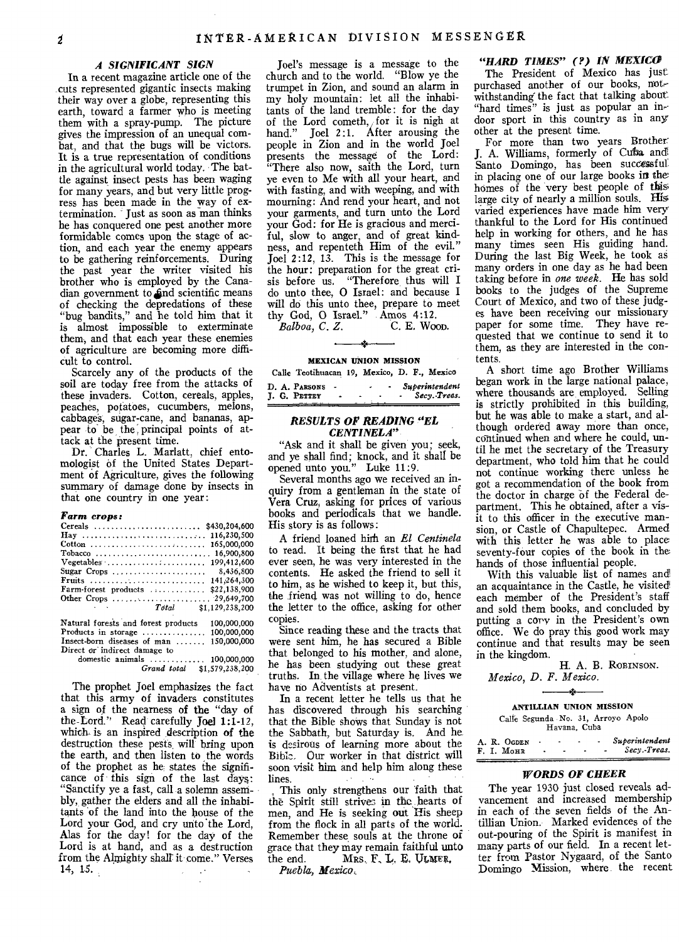#### *A SIGNIFICANT SIGN*

In a recent magazine article one of the cuts represented gigantic insects making their way over a globe, representing this earth, toward a farmer who is meeting them with a spray-pump. The picture gives the impression of an unequal combat, and that the bugs will be victors. It is a true representation of conditions in the agricultural world today. The battle against insect pests has been waging for many years, and but very little progress has been made in the way of extermination. Just as soon as man thinks he has conquered one pest another more formidable comes upon the stage of action, and each year the enemy appears to be gathering reinforcements. During the past year the writer visited his brother who is employed by the Canadian government to find scientific means of checking the depredations of these "bug bandits," and he told him that it is almost impossible to exterminate them, and that each year these enemies of agriculture are becoming more difficult to control.

Scarcely any of the products of the soil are today free from the attacks of these invaders. Cotton, cereals, apples, peaches, potatoes, cucumbers, melons, cabbages; sugar-cane, and bananas, appear to be the, principal points of attack at the present time.

Dr. Charles L. Marlatt, chief entomologist of the United States Department of Agriculture, gives the following summary of damage done by insects in that one country in one year:

#### *Farm crops:*

| Cereals                             |       | \$430,204,600   |
|-------------------------------------|-------|-----------------|
| Hay                                 |       | 116,230,500     |
|                                     |       | 165,000,000     |
|                                     |       |                 |
| $Vegetables$                        |       | 199.412.600     |
| Sugar Crops                         |       | 8,436,800       |
| Fruits                              |       | 141.264.300     |
| Farm-forest products                |       | \$22,138.900    |
|                                     |       |                 |
| Contract in the contract of         | Total | \$1,129,238,200 |
| Natural forests and forest products |       | 100,000.000     |
| Products in storage                 |       | 100.000.000     |
| Insect-born diseases of $man$       |       | 150,000,000     |
| Direct or indirect damage to        |       |                 |

Direct or indirect damage to<br>domestic animals ............... 100,000,000 *Grand total* \$1,579,238,200

The prophet Joel emphasizes the fact that this army of invaders constitutes a sign of the nearness of the "day of the-Lord." Read carefully Joel 1:1-12, which is an inspired description of the destruction these pests, will bring upon the earth, and then listen to the words of the prophet as he states the significance of this sign of the last days: "Sanctify ye a fast, call a solemn assembly, gather the elders and all the inhabitants of the land into the house of the Lord your God, and cry unto the Lord, Alas for the day! for the day of the Lord is at hand, and as a destruction from the Almighty shalr it come." Verses 14, 15.  $\sim$ 

Joel's message is a message to the church and to the world. "Blow ye the trumpet in Zion, and sound an alarm in my holy mountain: let all the inhabitants of the land tremble: for the day of the Lord cometh,, for it is nigh at hand." Joel 2:1. After arousing the people in Zion and in the world Joel presents the message of the Lord: "There also now, saith the Lord, turn ye even to Me With all your heart, and with fasting, and with weeping, and with mourning: And rend your heart, and not your garments, and turn unto the Lord your God: for He is gracious and merciful, slow to anger, and of great kindness, and repenteth Him of the evil." Joel 2:12, 13. This is the message for the hour: preparation for the great crisis before us. "Therefore thus will I do unto thee, 0 Israel: and because I will do this unto thee, prepare to meet thy God, O Israel." Amos 4:12.<br>Balboa, C. Z. C. E. Woop.

 $Balboa, C. Z.$ 

#### **MEXICAN UNION MISSION**

| Calle Teotihuacan 19, Mexico, D. F., Mexico |  |  |                                  |
|---------------------------------------------|--|--|----------------------------------|
| D. A. Parsons<br>$\sim$<br>J. G. Pettey     |  |  | Superintendent<br>- Secv. Treas. |

#### *RESULTS OF READING "EL CENTINELA"*

"Ask and it shall be given you; seek, and ye shall find; knock, and it shall be opened unto you." Luke 11:9.

Several months ago we received an inquiry from a gentleman in the state of Vera Cruz, asking for prices of various books and periodicals that we handle. His story is as follows:

A friend loaned hirh an *El Centinela*  to read. It being the first that he had ever seen, he was very interested in the contents. He asked the friend to sell it to him, as he wished to keep it, but this, the friend was not willing to do, hence the letter to the office, asking for other copies.

Since reading these and the tracts that were sent him, he has secured a Bible that belonged to his mother, and alone, he has been studying out these great truths. In the village where he lives we have no Adventists at present.

In a recent letter he tells us that he has discovered through his searching that the Bible shows that Sunday is not the Sabbath, but Saturday is. And he is desirous of learning more about the Bibb, Our worker in that district will soon visit him and help him along these lines.

This only strengthens our faith that the Spirit still strives in the hearts of men, and He is seeking out His sheep from the flock in all parts of the world. Remember these souls at the throne of grace that they may remain faithful unto<br>the end. MRS. F. L. E. ULMER. MRS. F. L. E. ULMER.

*Puebla, Mexico,* 

#### *"HARD TIMES" (?) IN MEXICO*

The President of Mexico has just purchased another of our books, notwithstanding the fact that talking about "hard times" is just as popular an indoor sport in this country as in any other at the present time.

For more than two years Brother: J. A. Williams, formerly of Cuba andl Santo Domingo, has been successful in placing one of our large books in the homes of the very best people of this; large city of nearly a million souls. Hig varied experiences have made him very thankful to the Lord for His continued help in working for others, and he has many times seen His guiding hand. During the last Big Week, he took as many orders in one day as he had been taking before in *one week.* He has sold books to the judges of the Supreme Court of Mexico, and two of these judges have been receiving our missionary paper for some time. They have requested that we continue to send it to them, as they are interested in the contents.

A short time ago Brother Williams began work in the large national palace, where thousands are employed. Selling is strictly prohibited in this building, but he was able to make a start, and although ordered away more than once, continued when and where he could, until he met the secretary of the Treasury department, who told him that he could not continue working there unless he got a recommendation of the book from the doctor in charge of the Federal department. This he obtained, after a visit to this officer in the executive mansion, or Castle of Chapultepec. Armed with this letter he was able to place seventy-four copies of the book in the hands of those influential people.

With this valuable list of names and an acquaintance in the Castle, he visited each member of the President's staff and sold them books, and concluded by putting a cory in the President's own office. We do pray this good work may continue and that results may be seen in the kingdom.

H. A. B. ROBINSON. *Mexico, D. F. Mexico.* 

#### $\frac{1}{2}$ **ANTILLIAN UNION MISSION**  Calle Segunda No. 31, Arroyo Apolo

| Havana, Cuba              |  |  |                     |  |                                |  |  |  |  |
|---------------------------|--|--|---------------------|--|--------------------------------|--|--|--|--|
| A. R. Ogden<br>F. I. Mohr |  |  | ٠<br>$\blacksquare$ |  | Superintendent<br>Secv.-Treas. |  |  |  |  |

#### *WORDS OF CHEER*

The year 1930 just closed reveals advancement and increased membership in each of the seven fields of the Antillian Union.- Marked evidences of the out-pouring of the Spirit is manifest in many parts of our field. In a recent letter from Pastor Nygaard, of the Santo Domingo Mission, where the recent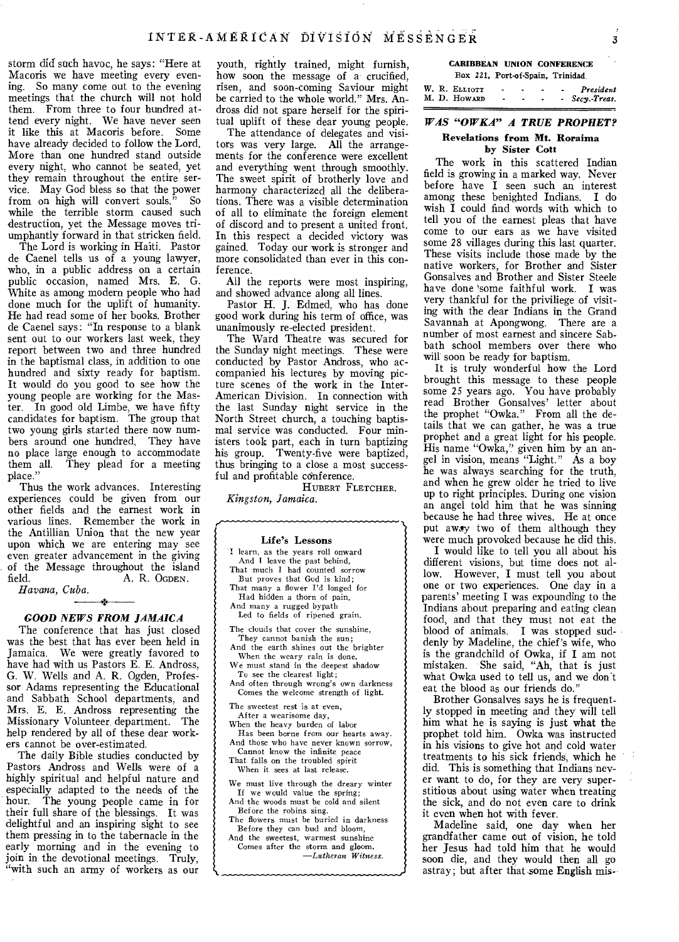storm did such havoc, he says: "Here at Macoris we have meeting every evening. So many come out to the evening meetings that the church will not hold them. From three to four hundred attend every night. We have never seen it like this at Macoris before. Some have already decided to follow the Lord. More than one hundred stand outside every night, who cannot be seated, yet they remain throughout the entire service. May God bless so that the power<br>from on high will convert souls." So from on high will convert souls. while the terrible storm caused such destruction, yet the Message moves triumphantly forward in that stricken field.

The Lord is working in Haiti. Pastor de Caenel tells us of a young lawyer, who, in a public address on a certain public occasion, named Mrs. E. G. White as among modern people who had done much for the uplift of humanity. He had read some of her books. Brother de Caenel says: "In response to a blank sent out to our workers last week, they report between two and three hundred in the baptismal class, in addition to one hundred and sixty ready for baptism. It would do you good to see how the young people are working for the Master. In good old Limbe, we have fifty candidates for baptism. The group that two young girls started there now numbers around one hundred. They have no place large enough to accommodate them all. They plead for a meeting place."

Thus the work advances. Interesting experiences could be given from our other fields and the earnest work in various lines. Remember the work in the Antillian Union that the new year upon which we are entering may see even greater advancement in the giving of the Message throughout the island<br>field. A. R. OGDEN. A. R. OGDEN.

*Havana, Cuba.* 

#### *GOOD NEWS FROM JAMAICA*

The conference that has just closed was the best that has ever been held in<br>Jamaica. We were greatly favored to We were greatly favored to have had with us Pastors E. E. Andross, G. W. Wells and A. R. Ogden, Professor Adams representing the Educational and Sabbath School departments, and Mrs. E. E. Andross representing the Missionary Volunteer, department. The help rendered by all of these dear workers cannot be over-estimated.

The daily Bible studies conducted by Pastors Andross and Wells were of a highly spiritual and helpful nature and especially adapted to the needs of the hour. The young people came in for their full share of the blessings. It was delightful and an inspiring sight to see them pressing in to the tabernacle in the early morning and in the evening to join in the devotional meetings. Truly, "with such an army of workers as our

youth, rightly trained, might furnish, how soon the message of a crucified, risen, and soon-coming Saviour might be carried to the whole world." Mrs. Andross did not spare herself for the spiritual uplift of these dear young people.

The attendance of delegates and visitors was very large. All the arrangements for the conference were excellent and everything went through smoothly. The sweet spirit of brotherly love and harmony characterized all the deliberations. There was a visible determination of all to eliminate the foreign element of discord and to present a united front. In this respect a decided victory was gained. Today our work is stronger and more consolidated than ever in this conference.

All the reports were most inspiring, and showed advance along all lines.

Pastor H. J. Edmed, who has done good work during his term of office, was unanimously re-elected president.

The Ward Theatre was secured for the Sunday night meetings. These were conducted by Pastor Andross, who accompanied his lectures by moving picture scenes of the work in the Inter-American Division. In connection with the last Sunday night service in the North Street church, a touching baptismal service was conducted. Four ministers took part, each in turn baptizing his group. Twenty-five were baptized, thus bringing to a close a most successful and profitable conference.

HUBERT FLETCHER. *Kingston, Jamaica.* 

#### **Life's** Lessons

- I learn, as the years roll onward
- And I leave the past behind,
- That much I had counted sorrow
- But proves that God is kind;
- That many a flower I'd longed for
- Had hidden a thorn of pain,
- And many a rugged bypath
- Led to fields of ripened grain. The clouds that cover the sunshine,
- They cannot banish the sun; And the earth shines out the brighter
- When the weary rain is done. We must stand in the deepest shadow
- To see the clearest light; And of ten through wrong's own darkness
- Comes the welcome strength of light.
- The sweetest rest is at even, After a wearisome day,
- When the heavy burden of labor
- Has been borne from our hearts away. And those who have never known sorrow,
- Cannot know the infinite peace That falls on the troubled spirit
- When it sees at last release.
- We must live through the dreary winter If we would value the spring; And the woods must be cold and silent
- Before the robins sing. The flowers must be buried in darkness
- Before they can bud and bloom, And the sweetest, warmest sunshine

Comes after the storm and gloom. *—Lutheran Witness.* 

#### **CARIBBEAN UNION CONFERENCE**  Box 221, Port-of-Spain, Trinidad.

|  | W. R. ELLIOTT |  |  | President      |
|--|---------------|--|--|----------------|
|  | M. D. HOWARD  |  |  | - Secy.-Treas. |

#### *WAS "OWKA" A TRUE PROPHET?*  **Revelations from Mt. Roraima by Sister Cott**

The work in this scattered Indian field is growing in a marked way. Never before have I seen such an interest among these benighted Indians. I do wish I could find words with which to tell you of the earnest pleas that have come to our ears as we have visited some 28 villages during this last quarter. These visits include those made by the native workers, for Brother and Sister Gonsalves and Brother and Sister Steele have done 'some faithful work. I was very thankful for the priviliege of visiting with the dear Indians in the Grand Savannah at Apongwong. There are a number of most earnest and sincere Sabbath school members over there who will' soon be ready for baptism.

It is truly wonderful how the Lord brought this message to these people some 25 years ago. You have probably read Brother Gonsalves' letter about the prophet "Owka." From all the details that we can gather, he was a true prophet and a great light for his people. His name "Owka," given him by an angel in vision, means "Light." As a boy he was always searching for the truth, and when he grew older he tried to live up to right principles. During one vision an angel told him that he was sinning, because he had three wives. He at once put away two of them although they were much provoked because he did this.

I would like to tell you all about his different visions, but time does not allow. However, I must tell you about one or two experiences. One day in a parents' meeting I was expounding to the Indians about preparing and eating clean food, and that they must not eat the blood of animals. I was stopped suddenly by Madeline, the chief's wife, who is the grandchild of Owka, if I am not mistaken. She said, "Ah, that is just what Owka used to tell us, and we don't eat the blood as our friends do."

Brother Gonsalves says he is frequently stopped in meeting and they will tell him what he is saying is just what the prophet told him. Owka was instructed in his visions to give hot and cold water treatments to his sick friends, which he did. This is something that Indians never want to do, for they are very superstitious about using water when treating the sick, and do not even care to drink it even when hot with fever.

Madeline said, one day when her grandfather came out of vision, he told her Jesus had told him that he would soon die, and they would then all go astray; but after that some English mis-

3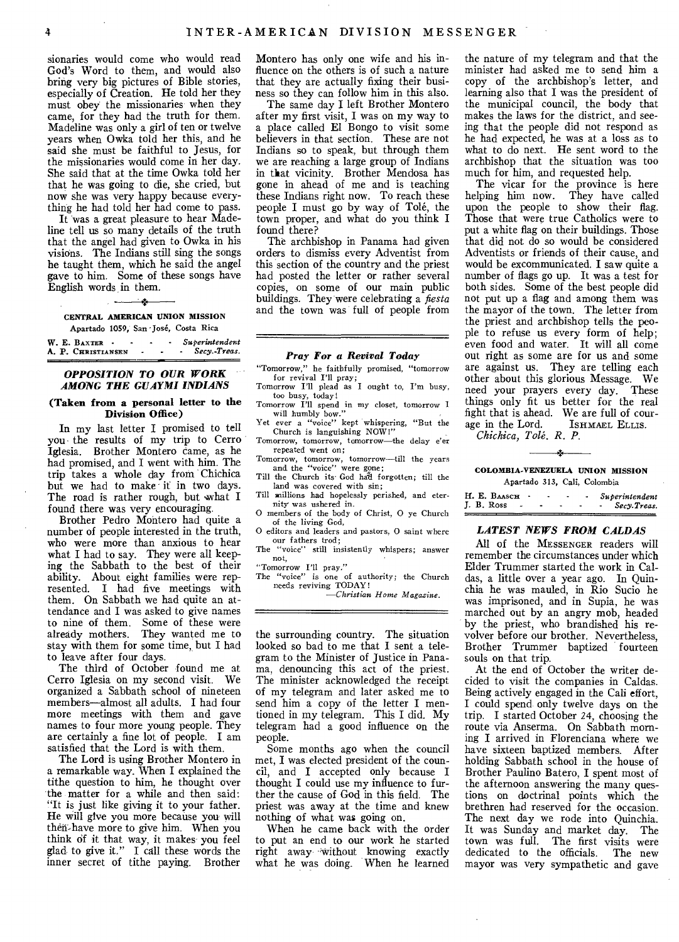sionaries would come who would read God's Word to them, and would also bring very big pictures of Bible stories, especially of Creation. He told her they must obey the missionaries when they came, for they had the truth for them. Madeline was only a girl of ten or twelve years when Owka told her this, and he said she must be faithful to Jesus, for the missionaries would come in her day. She said that at the time Owka told her that he was going to die, she cried, but now she was very happy because everything he had told her had come to pass.

It was a great pleasure to hear Madeline tell us so many details of the truth that the angel had given to Owka in his visions. The Indians still sing the songs he taught them, which he said the angel gave to him. Some of these songs have English words in them.

# CENTRAL AMERICAN UNION MISSION

#### Apartado 1059, San •Jose, Costa Rica

|  | W. E. BAXTER -     |           |  | Superintendent |
|--|--------------------|-----------|--|----------------|
|  | A. P. CHRISTIANSEN | $\bullet$ |  | - Secy.-Treas. |

#### *OPPOSITION TO OUR WORK AMONG THE GUAYMI INDIANS*

#### **(Taken from a personal letter to the Division Office)**

In my last letter I promised to tell you the results of my trip to Cerro Iglesia. Brother Montero came, as he had promised, and I went with him. The trip takes a whole day from Chichica but we had to make if in two days. The road is rather rough, but what I found there was very encouraging.

Brother Pedro Montero had quite a number of people interested in the truth, who were more than anxious to hear what I had to say. They were all keep-ing the Sabbath to the best of their ability. About eight families were represented. I had five meetings with them. On Sabbath we had quite an attendance and I was asked to give names to nine of them. Some of these were already mothers. They wanted me to stay with them for some time, but I had to leave after four days.

The third of October found me at Cerro Iglesia on my second visit. We organized a Sabbath school of nineteen members—almost all adults. I had four more meetings with them and gave names to four more young people. They are certainly a fine lot of people. I am satisfied that the Lord is with them.

The Lord is using Brother Montero in a remarkable way. When I explained the tithe question to him, he thought over the matter for a while and then said: "It is just like giving it to your father. He will give you more because you will then have more to give him. When you think of it that way, it makes you feel glad to give it." I call these words the inner secret of tithe paying. Brother

Montero has only one wife and his influence on the others is of such a nature that they are actually fixing their business so they can follow him in this also.

The same day I left Brother Montero after my first visit, I was on my way to a place called El Bongo to visit some believers in that section. These are not Indians so to speak, but through them we are reaching a large group of Indians in that vicinity. Brother Mendosa has gone in ahead of me and is teaching these Indians right now. To reach these people I must go by way of Tole, the town proper, and what do you think I found there?

The archbishop in Panama had given orders to dismiss every Adventist from this section of the country and the priest had posted the letter or rather several copies, on some of our main public buildings. They were celebrating a *fiesta*  and the town was full of people from

#### *Pray For a Revival Today*

- "Tomorrow," he faithfully promised, "tomorrow for revival I'll pray; Tomorrow I'll plead as I ought to, I'm busy,
- too busy, today!
- Tomorrow I'll spend in my closet, tomorrow 1 will humbly bow." Yet ever a "voice" kept whispering, "But the
- Church is languishing NOW!" Tomorrow, tomorrow, tomorrow—the delay e'er
- repeated went on;
- Tomorrow, tomorrow, tomorrow—till the years and the "voice" were gone; Till the Church its' God hall forgotten; till the
- land was covered with sin; Till millions had hopelessly perished, and eter-
- nity was ushered in.
- 0 members of the body of Christ, 0 ye Church of the living God,
- 0 editors and leaders and pastors, 0 saint where our fathers trod;
- The "voice" still insistently whispers; answer not,
- 
- "Tomorrow I'll pray." The "voice" is one of authority; the Church needs reviving TODAY!

*—Christian Home Magazine.* 

the surrounding country. The situation looked so bad to me that I sent a telegram to the Minister of Justice in Panama, denouncing this act of the priest. The minister acknowledged the receipt of my telegram and later asked me to send him a copy of the letter I mentioned in my telegram. This I did. My telegram had a good influence on the people.

Some months ago when the council met, I was elected president of the council, and I accepted only because I thought I could use my influence to further the cause of God in this field. The priest was away at the time and knew nothing of what was going on.

When he came back with the order to put an end to our work he started right away without knowing exactly what he was doing. When he learned

the nature of my telegram and that the minister had asked me to send him a copy of the archbishop's letter, and learning also that I was the president of the municipal council, the body that makes the laws for the district, and seeing that the people did not respond as he had expected, he was at a loss as to what to do next. He sent word to the archbishop that the situation was too much for him, and requested help.

The vicar for the province is here helping him now. They have called upon the people to show their flag. Those that were true Catholics were to put a white flag on their buildings. Those that did not do so would be considered Adventists or friends of their cause, and would be excommunicated. I saw quite a number of flags go up. It was a test for both sides. Some of the best people did not put up a flag and among them was the mayor of the town. The letter from the priest and archbishop tells the people to refuse us every form of help; even food and water. It will all come out right as some are for us and some are against us. They are telling each other about this glorious Message. We need your prayers every day. These things only fit us better for the real fight that is ahead. We are full of cour-ISHMAEL ELLIS.

*Chichica, Tole. R. P.* 

#### COLOMBIA-VENEZUELA UNION MISSION Apartado 313, Cali, Colombia

| H. E. BAASCH<br>J. B. Ross | $\blacksquare$ |  | Superintendent<br>Secy.Treas. |
|----------------------------|----------------|--|-------------------------------|
|                            |                |  |                               |

### *LATEST NEWS FROM CALDAS*

All of the MESSENGER readers will remember the circumstances under which Elder Trummer started the work in Caldas, a little over a year ago. In Quinchia he was mauled, in Rio Sucio he was imprisoned, and in Supia, he was marched out by an angry mob, headed by the priest, who brandished his revolver before our brother. Nevertheless, Brother Trummer baptized fourteen souls on that trip.

At the end of October the writer decided to visit the companies in Caldas. Being actively engaged in the Cali effort, I could spend only twelve days on the trip. I started October 24, choosing the route via Anserma. On Sabbath morning I arrived in Florenciana where we have sixteen baptized members. After holding Sabbath school in the house of Brother Paulino Batero, I spent most of the afternoon answering the many questions on doctrinal points which the brethren had reserved for the occasion. The next day we rode into Quinchia. It was Sunday and market day. The town was full. The first visits were dedicated to the officials. The new mayor was very sympathetic and gave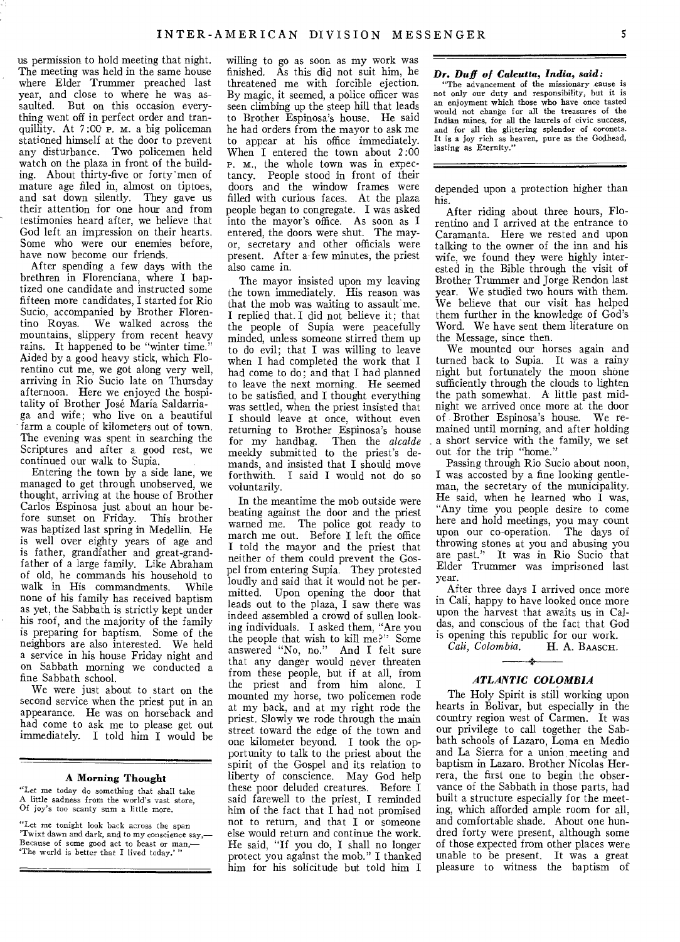us permission to hold meeting that night. The meeting was held in the same house where Elder Trummer preached last year, and close to where he was assaulted. But on this occasion everything went off in perfect order and tranquillity. At 7:00 P. M. a big policeman stationed himself at the door to prevent any disturbance. Two policemen held watch on the plaza in front of the building. About thirty-five or forty-men of mature age filed in, almost on tiptoes, and sat down silently. They gave us their attention for one hour and from testimonies heard after, we believe that God left an impression on their hearts. Some who were our enemies before, have now become our friends.

After spending a few days with the brethren in Florenciana, where I baptized one candidate and instructed some fifteen more candidates, I started for Rio Sucio, accompanied by Brother Florentino Royas. We walked across the mountains, slippery from recent heavy rains. It happened to be "winter time." Aided by a good heavy stick, which Florentino cut me, we got along very well, arriving in Rio Sucio late on Thursday afternoon. Here we enjoyed the hospitality of Brother Jose Maria Saldarriaga and wife; who live on a beautiful farm a couple of kilometers out of town. The evening was spent in searching the Scriptures and after a good rest, we continued our walk to Supia.

Entering the town by a side lane, we managed to get through unobserved, we thought, arriving at the house of Brother Carlos Espinosa just about an hour before sunset on Friday. This brother was baptized last spring in Medellin. He is well over eighty years of age and is father, grandfather and great-grandfather of a large family. Like Abraham of old, he commands his household to<br>walk in His commandments While walk in His commandments. none of his family has received baptism as yet, the Sabbath is strictly kept under his roof, and the majority of the family is preparing for baptism. Some of the neighbors are also interested. We held a service in his house Friday night and on Sabbath morning we conducted a fine Sabbath school.

We were just about to start on the second service when the priest put in an appearance. He was on horseback and had come to ask me to please get out immediately. I told him I would be

#### **A Morning Thought**

"Let me today do something that shall take A little sadness from the world's vast store, Of joy's too scanty sum a little more.

"Let me tonight look back across the span 'Twixt dawn and dark, and to my conscience say,— Because of some good act to beast or man,— `The world is better that I lived today.' "

willing to go as soon as my work was finished. As this did not suit him, he threatened me with forcible ejection. By magic, it seemed, a police officer was seen climbing up the steep hill that leads to Brother Espinosa's house. He said he had orders from the mayor to ask me to appear at his office immediately. When I entered the town about 2:00 P. NI., the whole town was in expec tancy. People stood in front of their doors and the window frames were filled with curious faces. At the plaza people began to congregate. I was asked into the mayor's office. As soon as I entered, the doors were shut. The mayor, secretary and other officials were present. After a few minutes, the priest also came in.

The mayor insisted upon my leaving the town immediately. His reason was that the mob was waiting to assault me. I replied that. I did not believe it; that the people of Supia were peacefully minded, unless someone stirred them up to do evil; that I was willing to leave when I had completed the work that I had come to do; and that I had planned to leave the next morning. He seemed to be satisfied, and I thought everything was settled, when the priest insisted that I should leave at once, without even returning to Brother Espinosa's house<br>for my handbag. Then the *alcalde* for my handbag. meekly submitted to the priest's demands, and insisted that I should move forthwith. I said I would not do so voluntarily.

In the meantime the mob outside were beating against the door and the priest warned me. The police got ready to march me out. Before I left the office I told the mayor and the priest that neither of them could prevent the Gospel from entering Supia. They protested loudly and said that it would not be permitted. Upon opening the door that leads out to the plaza, I saw there was indeed assembled a crowd of sullen looking individuals. I asked them, "Are you the people that wish to kill me?" Some answered "No, no." And I felt sure that any danger would never threaten from these people, but if at all, from the priest and from him alone. I mounted my horse, two policemen rode at my back, and at my right rode the priest. Slowly we rode through the main street toward the edge of the town and one kilometer beyond. I took the opportunity to talk to the priest about the spirit of the Gospel and its relation to liberty of conscience. May God help these poor deluded creatures. Before I said farewell to the priest, I reminded him of the fact that I had not promised not to return, and that I or someone else would return and continue the work. He said, "If you do, I shall no longer protect you against the mob." I thanked him for his solicitude but told him I

#### *Dr. Duff of Calcutta, India, said:*

"The advancement of the missionary cause is not only our duty and responsibility, but it is an enjoyment which those who have once tasted would not change for all the treasures of the Indian mines, for all the laurels of civic success, and for all the glittering splendor of coronets. It is a joy rich as heaven, pure as the Godhead, lasting as Eternity."

depended upon a protection higher than his.

After riding about three hours, Florentino and I arrived at the entrance to Caramanta. Here we rested and upon talking to the owner of the inn and his wife, we found they were highly interested in the Bible through the visit of Brother Trummer and Jorge Rendon last year. We studied two hours with them. We believe that our visit has helped them further in the knowledge of God's Word. We have sent them literature on the Message, since then.

We mounted our horses again and turned back to Supia. It was a rainy night but fortunately the moon shone sufficiently through the clouds to lighten the path somewhat. A little past midnight we arrived once more at the door of Brother Espinosa's house. We remained until morning, and after holding a short service with the family, we set out for the trip "home."

Passing through Rio Sucio about noon, I was accosted by a fine looking gentleman, the secretary of the municipality. He said, when he learned who I was, "Any time you people desire to come here and hold meetings, you may count upon our co-operation. The days of throwing stones at you and abusing you are past." It was in Rio Sucio that Elder Trummer was imprisoned last year.

After three days I arrived once more in Cali, happy to have looked once more upon the harvest that awaits us in Caldas, and conscious of the fact that God is opening this republic for our work.<br>Cali, Colombia. H. A. BAASCH.

 $Cali, Colombia.$ 

#### *ATLANTIC COLOMBIA*

The Holy Spirit is still working upon hearts in Bolivar, but especially in the country region west of Carmen. It was our privilege to call together the Sabbath schools of Lazaro, Loma en Medio and La Sierra for a union, meeting and baptism in Lazaro. Brother Nicolas Herrera, the first one to begin the observance of the Sabbath in those parts, had built a structure especially for the meeting, which afforded ample room for all, and comfortable shade. About one hundred forty were present, although some of those expected from other places were unable to be present. It was a great pleasure to witness the baptism of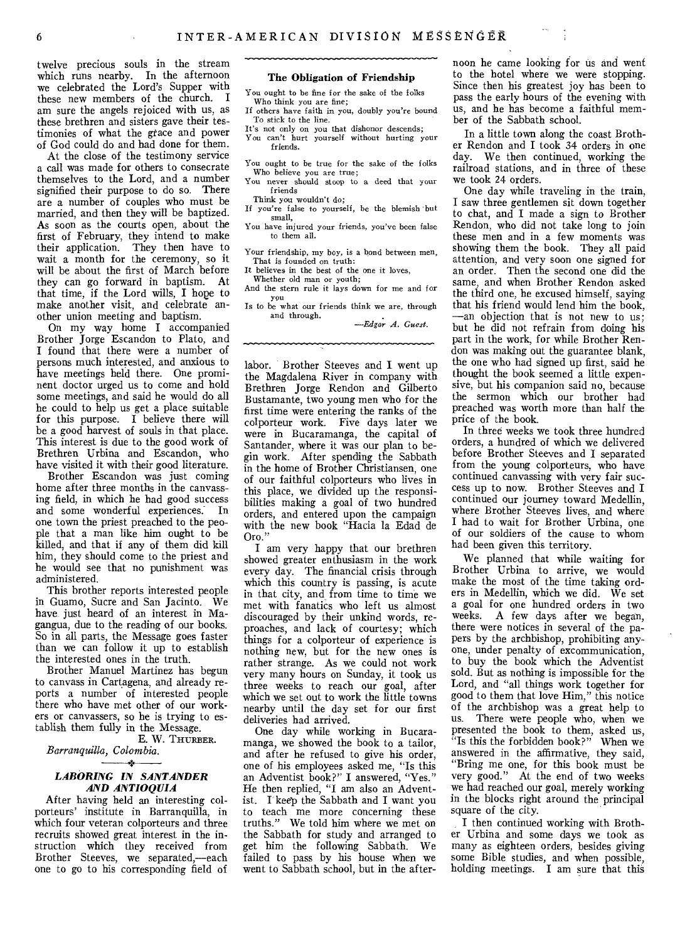twelve precious souls in the stream which runs nearby. In the afternoon we celebrated the Lord's Supper with these new members of the church. I am sure the angels rejoiced with us, as these brethren and sisters gave their testimonies of what the grace and power of God could do and had done for them.

At the close of the testimony service a call was made for others to consecrate themselves to the Lord, and a number signified their purpose to do so. There are a number of couples who must be married, and then they will be baptized. As soon as the courts open, about the first of February, they intend to make their application. They then have to wait a month for the ceremony, so it will be about the first of March before they can go forward in baptism. At that time, if the Lord wills, I hope to make another visit, and celebrate another union meeting and baptism.

On my way home I accompanied Brother Jorge Escandon to Plato, and I found that there were a number of persons much interested, and anxious to have meetings held there. One prominent doctor urged us to come and hold some meetings, and said he would do all he could to help us get a place suitable for this purpose. I believe there will be a good harvest of souls in that place. This interest is due to the good work of Brethren Urbina and Escandon, who have visited it with their good literature.

Brother Escandon was just coming home after three months in the canvassing field, in which he had good success and some wonderful experiences: In one town the priest preached to the people that a man like him ought to be killed, and that if any of them did kill him, they should come to the priest and he would see that no punishment was administered.

This brother reports interested people in Guamo, Sucre and San Jacinto. We have just heard of an interest in Magangua, due to the reading of our books. So in all parts, the Message goes faster than we can follow it up to establish the interested ones in the truth.

Brother Manuel Martinez has begun to canvass in Cartagena, and already reports a number of interested people there who have met other of our workers or canvassers, so he is trying to establish them fully in the Message.

E. W. THURBER.

*Barranquilla, Colombia.*  - 24

#### *LABORING IN SANTANDER AND ANTIOQUIA*

After having held an interesting colporteurs' institute in Barranquilla, in which four veteran colporteurs and three recruits showed great interest in the instruction which they received from Brother Steeves, we separated,—each one to go to his corresponding field of

#### *The* Obligation of Friendship

You ought to be fine for the sake of the folks Who think you are fine; If others have faith in you, doubly you're bound

To stick to the line.

- It's not only on you that dishonor descends;
- You can't hurt yourself without hurting your friends.
- You ought to be true for the sake of the folks Who believe you are true;
- You never should stoop to a deed that your friends
- Think you wouldn't do; If you're false to yourself, be the blemish but small,
- You have injured your friends, you've been false to them all.
- Your friendship, my boy, is a bond between men, That is founded on truth:
- It believes in the best of the one it loves,
- Whether old man or youth; And the stern rule it lays down for me and for
- you Is to be what our friends think we are, through and through.

*—Edgar A. Guest.* 

labor. Brother Steeves and I went up the Magdalena River in company with Brethren Jorge Rendon and Gilberto Bustamante, two young men who for the first time were entering the ranks of the colporteur work. Five days later we were in Bucaramanga, the capital of Santander, where it was our plan to begin work. After spending the Sabbath in the home of Brother Christiansen, one of our faithful colporteurs who lives in this place, we divided up the responsibilities making a goal of two hundred orders, and entered upon the campaign with the new book "Hacia la Edad de Oro."

I am very happy that our brethren showed greater enthusiasm in the work every day. The financial crisis through which this country is passing, is acute in that city, and from time to time we met with fanatics who left us almost discouraged by their unkind words, reproaches, and lack of courtesy; which things for a colporteur of experience is nothing new, but for the new ones is rather strange. As we could not work very many hours on Sunday, it took us three weeks to reach our goal, after which we set out to work the little towns nearby until the day set for our first deliveries had arrived.

One day while working in Bucaramanga, we showed the book to a tailor, and after he refused to give his order, one of his employees asked me, "Is this an Adventist book?" I answered, "Yes." He then replied, "I am also an Adventist. I keep the Sabbath and I want you to teach me more concerning these truths." We told him where we met on the Sabbath for study and arranged to get him the following Sabbath. We failed to pass by his house when we went to Sabbath school, but in the afternoon he came looking for us and went to the hotel where we were stopping. Since then his greatest joy has been to pass the early hours of the evening with us, and he has become a faithful member of the Sabbath school.

In a little town along the coast Brother Rendon and I took 34 orders in one day. We then continued, working the railroad stations, and in three of these we took 24 orders.

One day while traveling in the train, I saw three gentlemen sit down together to chat, and I made a sign to Brother Rendon, who did not take long to join these men and in a few moments was showing them the book. They all paid attention, and very soon one signed for an order. Then the second one did the same, and when Brother Rendon asked the third one, he excused himself, saying that his friend would lend him the book, —an objection that is not new to us; but he did not refrain from doing his part in the work, for while Brother Rendon was making out the guarantee blank, the one who had signed up first, said he thought the book seemed a little expensive, but his companion said no, because the sermon which our brother had preached was worth more than half the price of the book.

In three weeks we took three hundred orders, a hundred of which we delivered before Brother Steeves and I separated from the young colporteurs, who have continued canvassing with very fair success up to now. Brother Steeves and I continued our journey toward Medellin, where Brother Steeves lives, and where I had to wait for Brother Urbina, one of our soldiers of the cause to whom had been given this territory.

We planned that while waiting for Brother Urbina to arrive, we would make the most of the time taking orders in Medellin, which we did. We set a goal for one hundred orders in two weeks. A few days after we began, there were notices in several of the papers by the archbishop, prohibiting anyone, under penalty of excommunication, to buy the book which the Adventist sold. But as nothing is impossible for the Lord, and "all things work together for good to them that love Him," this notice of the archbishop was a great help to us. There were people who, when we presented the book to them, asked us, "Is this the forbidden book?" When we answered in the affirmative, they said, "Bring me one, for this book must be very good." At the end of two weeks we had reached our goal, merely working in the blocks right around the principal square of the city.

I then continued working with Brother Urbina and some days we took as many as eighteen orders, besides giving some Bible studies, and when possible, holding meetings. I am sure that this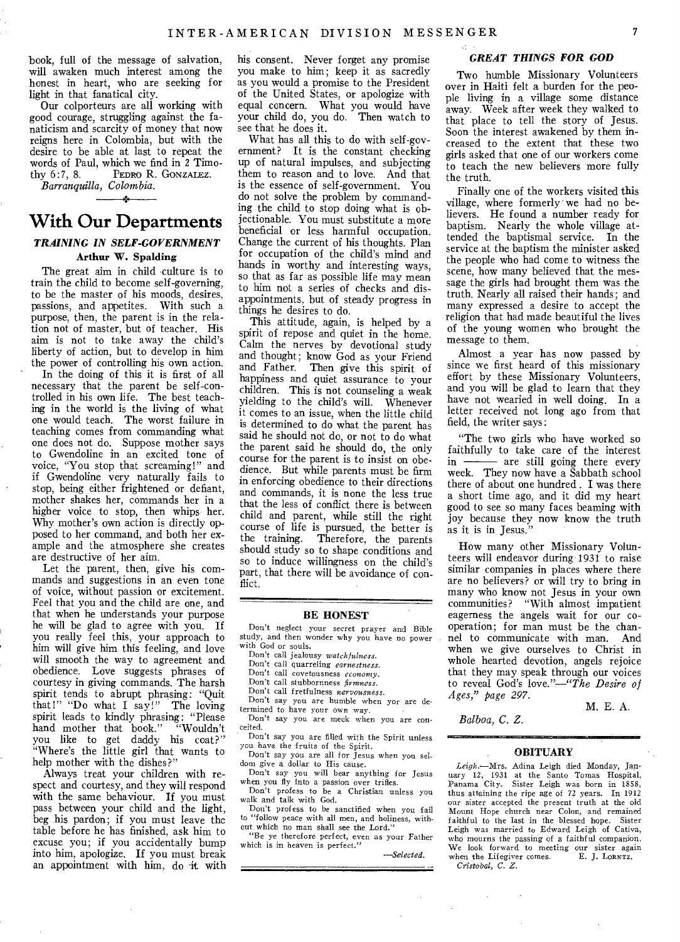book, full of the message of salvation, will awaken much interest among the honest in heart, who are seeking for light in that fanatical city.

Our colporteurs are all working with good courage, struggling against the fanaticism and scarcity of money that now reigns here in Colombia, but with the desire to be able at last to repeat the words of Paul, which we find in 2 Timo-<br>thy 6:7, 8. PEDRO R. GONZALEZ. PEDRO R. GONZALEZ.

*Barranquilla, Colombia.* 

# **With Our Departments**  *TRAINING IN SELF-GOVERNMENT*  **Arthur W. Spalding**

.<br>A

The great aim in child culture is to train the child to become self-governing, to be the master of his moods, desires, passions, and appetites. With such a purpose, then, the parent is in the relation not of master, but of teacher. His aim is not to take away the child's liberty of action, but to develop in him the power of controlling his own action.

In the doing of this it is first of all necessary that the parent be self-controlled in his own life. The best teaching in the world is the living of what one would teach. The worst failure in teaching comes from commanding what one does not do. Suppose mother says to Gwendoline in an excited tone of voice, "You stop that screaming!" and if Gwendoline very naturally fails to stop, being either frightened or defiant, mother shakes her, commands her in a higher voice to stop, then whips her. Why mother's own action is directly opposed to her command, and both her example and the atmosphere she creates are destructive of her aim.

Let the parent, then, give his commands and suggestions in an even tone of voice, without passion or excitement. Feel that you and the child are one, and that when he understands your purpose he will be glad to agree with you. If you really feel this, your approach to him will give him this feeling, and love will smooth the way to agreement and obedience. Love suggests phrases of courtesy in giving commands. The harsh spirit tends to abrupt phrasing: "Quit that!" "Do what I say!" The loving spirit leads to kindly phrasing: "Please hand mother that book." "Wouldn't hand mother that book." you like to get daddy his coat?" "Where's the little girl that wants to help mother with the dishes?'

Always treat your children with respect and courtesy, and they will respond with the same behaviour. If you must pass between your child and the light, beg his pardon; if you must leave the table before he has finished, ask him to excuse you; if you accidentally bump into him, apologize. If you must break an appointment with him, do it with his consent. Never forget any promise you make to him; keep it as sacredly as you would a promise to the President of the United States, or apologize with equal concern. What you would have your child do, you do. Then watch to see that he does it.

What has all this to do with self-government? It is the constant checking up of natural impulses, and subjecting them to reason and to love. And that is the essence of self-government. You do not solve the problem by commanding the child to stop doing what is objectionable. You must substitute a more beneficial or less harmful occupation. Change the current of his thoughts. Plan for occupation of the child's mind and hands in worthy and interesting ways, so that as far as possible life may mean to him not a series of checks and disappointments, but of steady progress in things he desires to do.

This attitude, again, is helped by a spirit of repose and quiet in the home. Calm the nerves by devotional study and thought; know God as your Friend and Father. Then give this spirit of happiness and quiet assurance to your children. This is not counseling a weak yielding to the child's will. Whenever it comes to an issue, when the little child is determined to do what the parent has said he should not do, or not to do what the parent said he should do, the only course for the parent is to insist on obedience. But while parents must be firm in enforcing obedience to their directions and commands, it is none the less true that the less of conflict there is between child and parent, while still the right course of life is pursued, the better is the training. Therefore, the parents should study so to shape conditions and so to induce willingness on the child's part, that there will be avoidance of conflict.

#### **BE HONEST**

Don't neglect your secret prayer and Bible study, and then wonder why you have no power with God or souls.

Don't call jealousy *watchfulness.* 

Don't call quarreling *earnestness.* 

Don't call covetousness *economy.* 

Don't call stubbornness *firmness.* 

Don't call fretfulness *nervousness.* 

Don't say you are **humble when yor** are determined to have your own **way.** 

Don't say *you* are meek **when you** *are* conceited.

Don't **say you** are filled with the Spirit **unless**  you have **the** fruits of the Spirit.

Don't say you are all for Jesus when you seldom give a dollar to His cause.

Don't say you will bear anything for Jesus<br>when you fly into a passion over trifles.

Don't profess to be a Christian unless you walk and talk with God.

Don't profess to be sanctified when you fail to "follow peace with all men, and holiness, without which no man shall see the Lord."

"Be ye therefore perfect, even as your Father which is in heaven is perfect."

*—Selected.* 

### *GREAT THINGS FOR GOD*

Two humble Missionary Volunteers over in Haiti felt a burden for the people living in a village some distance away. Week after week they walked to that place to tell the story of Jesus. Soon the interest awakened by them increased to the extent that these two girls asked that one of our workers come to teach the new believers more fully the truth.

Finally one of the workers visited this village, where formerly we had no believers. He found a number ready for baptism. Nearly the whole village attended the baptismal service. In the service at the baptism the minister asked the people who had come to witness the scene, how many believed that the message the girls had brought them was the truth. Nearly all raised their hands; and many expressed a desire to accept the religion that had made beautiful the lives of the young women who brought the message to them.

Almost a year has now passed by since we first heard of this missionary effort by these Missionary Volunteers, and you will be glad to learn that they have not wearied in well doing. In a letter received not long ago from that field, the writer says:

"The two girls who have worked so faithfully to take care of the interest<br>in —— are still going there every  $-$  are still going there every week. They now have a Sabbath school there of about one hundred . I was there a short time ago, and it did my heart good to see so many faces beaming with joy because they now know the truth as it is in Jesus."

How many other Missionary Volunteers will endeavor during 1931 to raise similar companies in places where there are no believers? or will try to bring in many who know not Jesus in your own communities? "With almost impatient eagerness the angels wait for our cooperation; for man must be the channel to communicate with man. And when we give ourselves to Christ in whole hearted devotion, angels rejoice that they may speak through our voices to reveal God's love."—"The *Desire of Ages," page 297.* 

M. E. A.

*Balboa, C. Z.* 

#### **OBITUARY**

*Leigh.—Mrs.* Adina Leigh died Monday, January 12, 1931 at the Santo Tomas Hospital, Panama City. Sister Leigh was born in 1858, thus attaining the ripe age of 72 years. In 1912 our sister accepted the present truth at the old Mount Hope church near Colon, and remained faithful to the last in the blessed hope. Leigh was married to Edward Leigh of Cativa, who mourns the passing of a faithful companion. We look forward to meeting our sister again<br>when the Lifegiver comes. E. I. LORNTZ. when the Lifegiver comes. *Cristobal, C. Z.*